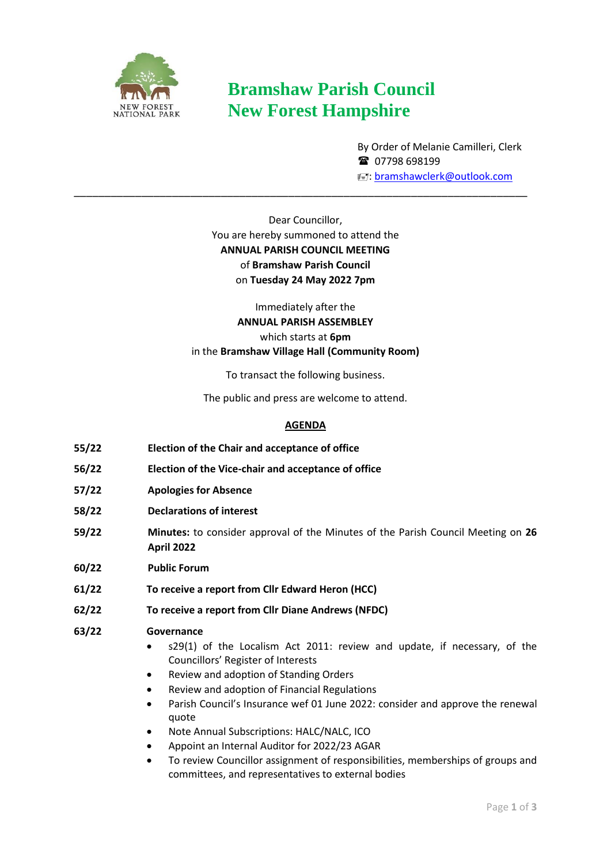

# **Bramshaw Parish Council New Forest Hampshire**

By Order of Melanie Camilleri, Clerk ■ 07798 698199 : [bramshawclerk@outlook.com](mailto:bramshawclerk@outlook.com)

Dear Councillor, You are hereby summoned to attend the **ANNUAL PARISH COUNCIL MEETING**  of **Bramshaw Parish Council**  on **Tuesday 24 May 2022 7pm**

\_\_\_\_\_\_\_\_\_\_\_\_\_\_\_\_\_\_\_\_\_\_\_\_\_\_\_\_\_\_\_\_\_\_\_\_\_\_\_\_\_\_\_\_\_\_\_\_\_\_\_\_\_\_\_\_\_\_\_\_\_\_\_\_\_\_\_\_\_\_\_\_\_\_

Immediately after the **ANNUAL PARISH ASSEMBLEY**  which starts at **6pm** in the **Bramshaw Village Hall (Community Room)**

To transact the following business.

The public and press are welcome to attend.

# **AGENDA**

- **55/22 Election of the Chair and acceptance of office**
- **56/22 Election of the Vice-chair and acceptance of office**
- **57/22 Apologies for Absence**
- **58/22 Declarations of interest**
- **59/22 Minutes:** to consider approval of the Minutes of the Parish Council Meeting on **26 April 2022**
- **60/22 Public Forum**
- **61/22 To receive a report from Cllr Edward Heron (HCC)**
- **62/22 To receive a report from Cllr Diane Andrews (NFDC)**
- **63/22 Governance** 
	- s29(1) of the Localism Act 2011: review and update, if necessary, of the Councillors' Register of Interests
	- Review and adoption of Standing Orders
	- Review and adoption of Financial Regulations
	- Parish Council's Insurance wef 01 June 2022: consider and approve the renewal quote
	- Note Annual Subscriptions: HALC/NALC, ICO
	- Appoint an Internal Auditor for 2022/23 AGAR
	- To review Councillor assignment of responsibilities, memberships of groups and committees, and representatives to external bodies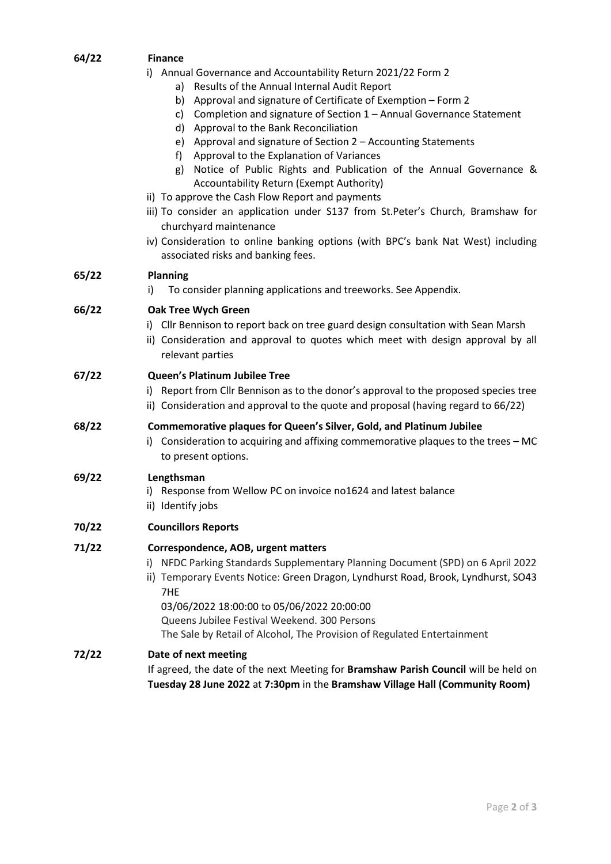# **64/22 Finance**

- i) Annual Governance and Accountability Return 2021/22 Form 2
	- a) Results of the Annual Internal Audit Report
	- b) Approval and signature of Certificate of Exemption Form 2
	- c) Completion and signature of Section 1 Annual Governance Statement
	- d) Approval to the Bank Reconciliation
	- e) Approval and signature of Section 2 Accounting Statements
	- f) Approval to the Explanation of Variances
	- g) Notice of Public Rights and Publication of the Annual Governance & Accountability Return (Exempt Authority)
- ii) To approve the Cash Flow Report and payments
- iii) To consider an application under S137 from St.Peter's Church, Bramshaw for churchyard maintenance
- iv) Consideration to online banking options (with BPC's bank Nat West) including associated risks and banking fees.

## **65/22 Planning**

i) To consider planning applications and treeworks. See Appendix.

## **66/22 Oak Tree Wych Green**

- i) Cllr Bennison to report back on tree guard design consultation with Sean Marsh
- ii) Consideration and approval to quotes which meet with design approval by all relevant parties

#### **67/22 Queen's Platinum Jubilee Tree**

- i) Report from Cllr Bennison as to the donor's approval to the proposed species tree
- ii) Consideration and approval to the quote and proposal (having regard to 66/22)

#### **68/22 Commemorative plaques for Queen's Silver, Gold, and Platinum Jubilee**

i) Consideration to acquiring and affixing commemorative plaques to the trees – MC to present options.

#### **69/22 Lengthsman**

- i) Response from Wellow PC on invoice no1624 and latest balance
- ii) Identify jobs

#### **70/22 Councillors Reports**

# **71/22 Correspondence, AOB, urgent matters**

- i) NFDC Parking Standards Supplementary Planning Document (SPD) on 6 April 2022
- ii) Temporary Events Notice: Green Dragon, Lyndhurst Road, Brook, Lyndhurst, SO43 7HE

03/06/2022 18:00:00 to 05/06/2022 20:00:00 Queens Jubilee Festival Weekend. 300 Persons The Sale by Retail of Alcohol, The Provision of Regulated Entertainment

#### **72/22 Date of next meeting**

If agreed, the date of the next Meeting for **Bramshaw Parish Council** will be held on **Tuesday 28 June 2022** at **7:30pm** in the **Bramshaw Village Hall (Community Room)**